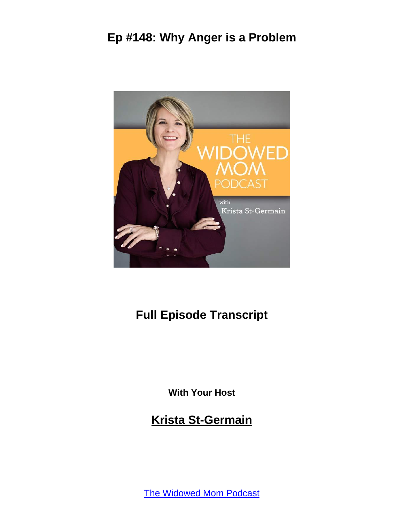

# **Full Episode Transcript**

**With Your Host**

**Krista St-Germain**

[The Widowed Mom Podcast](https://coachingwithkrista.com/podcast)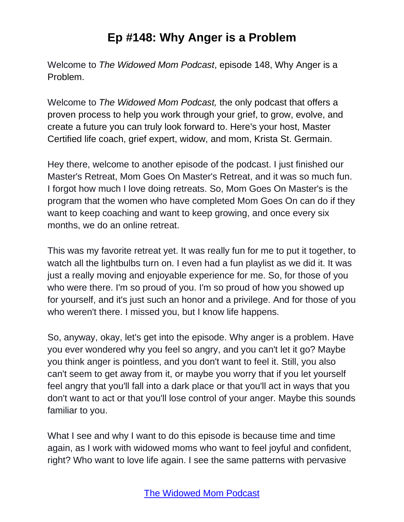Welcome to *The Widowed Mom Podcast*, episode 148, Why Anger is a Problem.

Welcome to *The Widowed Mom Podcast,* the only podcast that offers a proven process to help you work through your grief, to grow, evolve, and create a future you can truly look forward to. Here's your host, Master Certified life coach, grief expert, widow, and mom, Krista St. Germain.

Hey there, welcome to another episode of the podcast. I just finished our Master's Retreat, Mom Goes On Master's Retreat, and it was so much fun. I forgot how much I love doing retreats. So, Mom Goes On Master's is the program that the women who have completed Mom Goes On can do if they want to keep coaching and want to keep growing, and once every six months, we do an online retreat.

This was my favorite retreat yet. It was really fun for me to put it together, to watch all the lightbulbs turn on. I even had a fun playlist as we did it. It was just a really moving and enjoyable experience for me. So, for those of you who were there. I'm so proud of you. I'm so proud of how you showed up for yourself, and it's just such an honor and a privilege. And for those of you who weren't there. I missed you, but I know life happens.

So, anyway, okay, let's get into the episode. Why anger is a problem. Have you ever wondered why you feel so angry, and you can't let it go? Maybe you think anger is pointless, and you don't want to feel it. Still, you also can't seem to get away from it, or maybe you worry that if you let yourself feel angry that you'll fall into a dark place or that you'll act in ways that you don't want to act or that you'll lose control of your anger. Maybe this sounds familiar to you.

What I see and why I want to do this episode is because time and time again, as I work with widowed moms who want to feel joyful and confident, right? Who want to love life again. I see the same patterns with pervasive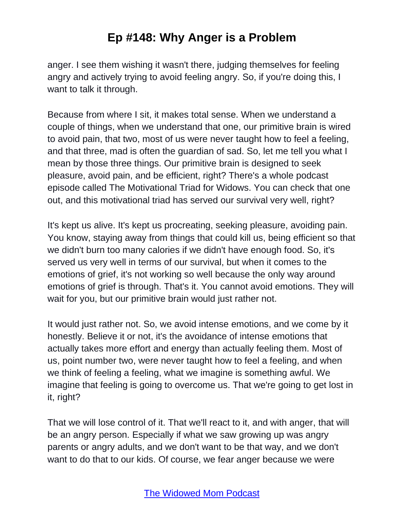anger. I see them wishing it wasn't there, judging themselves for feeling angry and actively trying to avoid feeling angry. So, if you're doing this, I want to talk it through.

Because from where I sit, it makes total sense. When we understand a couple of things, when we understand that one, our primitive brain is wired to avoid pain, that two, most of us were never taught how to feel a feeling, and that three, mad is often the guardian of sad. So, let me tell you what I mean by those three things. Our primitive brain is designed to seek pleasure, avoid pain, and be efficient, right? There's a whole podcast episode called The Motivational Triad for Widows. You can check that one out, and this motivational triad has served our survival very well, right?

It's kept us alive. It's kept us procreating, seeking pleasure, avoiding pain. You know, staying away from things that could kill us, being efficient so that we didn't burn too many calories if we didn't have enough food. So, it's served us very well in terms of our survival, but when it comes to the emotions of grief, it's not working so well because the only way around emotions of grief is through. That's it. You cannot avoid emotions. They will wait for you, but our primitive brain would just rather not.

It would just rather not. So, we avoid intense emotions, and we come by it honestly. Believe it or not, it's the avoidance of intense emotions that actually takes more effort and energy than actually feeling them. Most of us, point number two, were never taught how to feel a feeling, and when we think of feeling a feeling, what we imagine is something awful. We imagine that feeling is going to overcome us. That we're going to get lost in it, right?

That we will lose control of it. That we'll react to it, and with anger, that will be an angry person. Especially if what we saw growing up was angry parents or angry adults, and we don't want to be that way, and we don't want to do that to our kids. Of course, we fear anger because we were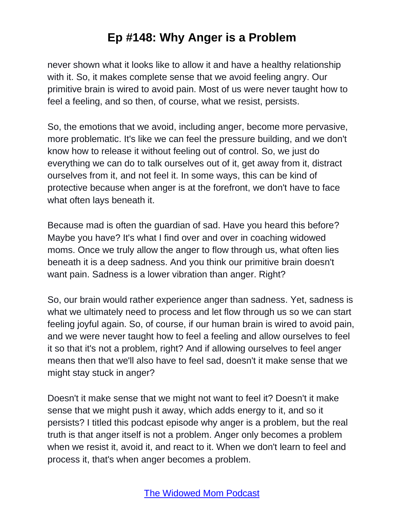never shown what it looks like to allow it and have a healthy relationship with it. So, it makes complete sense that we avoid feeling angry. Our primitive brain is wired to avoid pain. Most of us were never taught how to feel a feeling, and so then, of course, what we resist, persists.

So, the emotions that we avoid, including anger, become more pervasive, more problematic. It's like we can feel the pressure building, and we don't know how to release it without feeling out of control. So, we just do everything we can do to talk ourselves out of it, get away from it, distract ourselves from it, and not feel it. In some ways, this can be kind of protective because when anger is at the forefront, we don't have to face what often lays beneath it.

Because mad is often the guardian of sad. Have you heard this before? Maybe you have? It's what I find over and over in coaching widowed moms. Once we truly allow the anger to flow through us, what often lies beneath it is a deep sadness. And you think our primitive brain doesn't want pain. Sadness is a lower vibration than anger. Right?

So, our brain would rather experience anger than sadness. Yet, sadness is what we ultimately need to process and let flow through us so we can start feeling joyful again. So, of course, if our human brain is wired to avoid pain, and we were never taught how to feel a feeling and allow ourselves to feel it so that it's not a problem, right? And if allowing ourselves to feel anger means then that we'll also have to feel sad, doesn't it make sense that we might stay stuck in anger?

Doesn't it make sense that we might not want to feel it? Doesn't it make sense that we might push it away, which adds energy to it, and so it persists? I titled this podcast episode why anger is a problem, but the real truth is that anger itself is not a problem. Anger only becomes a problem when we resist it, avoid it, and react to it. When we don't learn to feel and process it, that's when anger becomes a problem.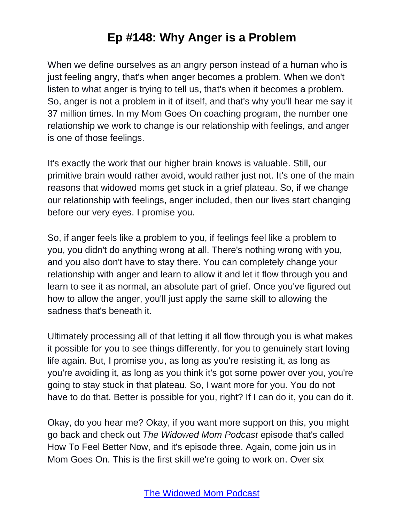When we define ourselves as an angry person instead of a human who is just feeling angry, that's when anger becomes a problem. When we don't listen to what anger is trying to tell us, that's when it becomes a problem. So, anger is not a problem in it of itself, and that's why you'll hear me say it 37 million times. In my Mom Goes On coaching program, the number one relationship we work to change is our relationship with feelings, and anger is one of those feelings.

It's exactly the work that our higher brain knows is valuable. Still, our primitive brain would rather avoid, would rather just not. It's one of the main reasons that widowed moms get stuck in a grief plateau. So, if we change our relationship with feelings, anger included, then our lives start changing before our very eyes. I promise you.

So, if anger feels like a problem to you, if feelings feel like a problem to you, you didn't do anything wrong at all. There's nothing wrong with you, and you also don't have to stay there. You can completely change your relationship with anger and learn to allow it and let it flow through you and learn to see it as normal, an absolute part of grief. Once you've figured out how to allow the anger, you'll just apply the same skill to allowing the sadness that's beneath it.

Ultimately processing all of that letting it all flow through you is what makes it possible for you to see things differently, for you to genuinely start loving life again. But, I promise you, as long as you're resisting it, as long as you're avoiding it, as long as you think it's got some power over you, you're going to stay stuck in that plateau. So, I want more for you. You do not have to do that. Better is possible for you, right? If I can do it, you can do it.

Okay, do you hear me? Okay, if you want more support on this, you might go back and check out *The Widowed Mom Podcast* episode that's called How To Feel Better Now, and it's episode three. Again, come join us in Mom Goes On. This is the first skill we're going to work on. Over six